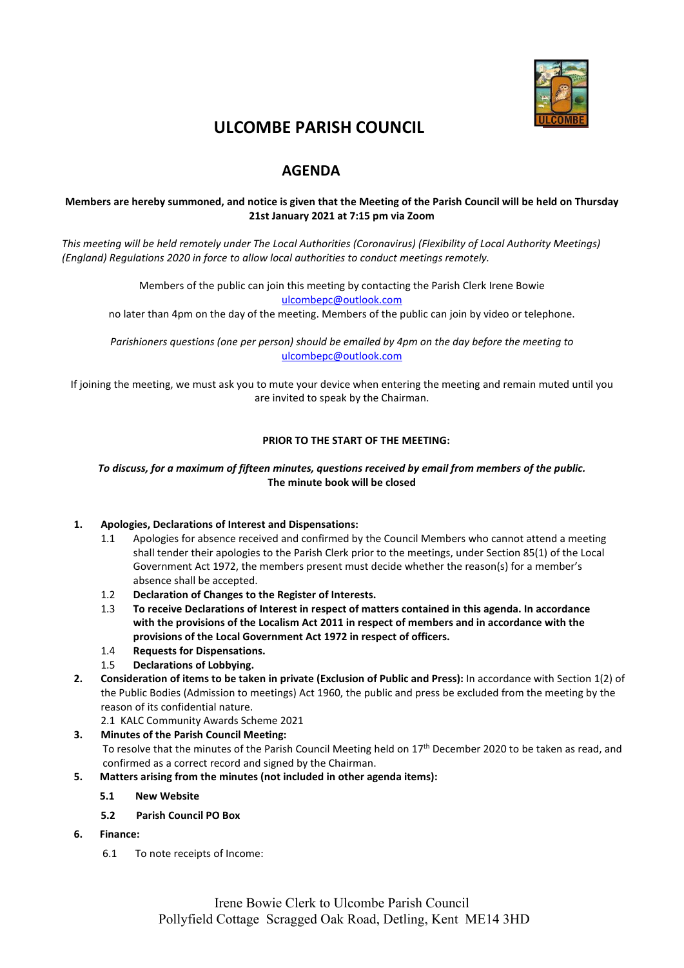

# **ULCOMBE PARISH COUNCIL**

## **AGENDA**

#### **Members are hereby summoned, and notice is given that the Meeting of the Parish Council will be held on Thursday 21st January 2021 at 7:15 pm via Zoom**

*This meeting will be held remotely under The Local Authorities (Coronavirus) (Flexibility of Local Authority Meetings) (England) Regulations 2020 in force to allow local authorities to conduct meetings remotely.*

> Members of the public can join this meeting by contacting the Parish Clerk Irene Bowie [ulcombepc@outlook.com](mailto:ulcombepc@outlook.com)

no later than 4pm on the day of the meeting. Members of the public can join by video or telephone.

*Parishioners questions (one per person) should be emailed by 4pm on the day before the meeting to* [ulcombepc@outlook.com](mailto:ulcombepc@outlook.com)

If joining the meeting, we must ask you to mute your device when entering the meeting and remain muted until you are invited to speak by the Chairman.

#### **PRIOR TO THE START OF THE MEETING:**

#### *To discuss, for a maximum of fifteen minutes, questions received by email from members of the public.* **The minute book will be closed**

#### **1. Apologies, Declarations of Interest and Dispensations:**

- 1.1 Apologies for absence received and confirmed by the Council Members who cannot attend a meeting shall tender their apologies to the Parish Clerk prior to the meetings, under Section 85(1) of the Local Government Act 1972, the members present must decide whether the reason(s) for a member's absence shall be accepted.
- 1.2 **Declaration of Changes to the Register of Interests.**
- 1.3 **To receive Declarations of Interest in respect of matters contained in this agenda. In accordance with the provisions of the Localism Act 2011 in respect of members and in accordance with the provisions of the Local Government Act 1972 in respect of officers.**
- 1.4 **Requests for Dispensations.**
- 1.5 **Declarations of Lobbying.**
- **2. Consideration of items to be taken in private (Exclusion of Public and Press):** In accordance with Section 1(2) of the Public Bodies (Admission to meetings) Act 1960, the public and press be excluded from the meeting by the reason of its confidential nature.

2.1 KALC Community Awards Scheme 2021

#### **3. Minutes of the Parish Council Meeting:**

To resolve that the minutes of the Parish Council Meeting held on 17th December 2020 to be taken as read, and confirmed as a correct record and signed by the Chairman.

- **5. Matters arising from the minutes (not included in other agenda items):**
	- **5.1 New Website**
	- **5.2 Parish Council PO Box**
- **6. Finance:**
	- 6.1 To note receipts of Income: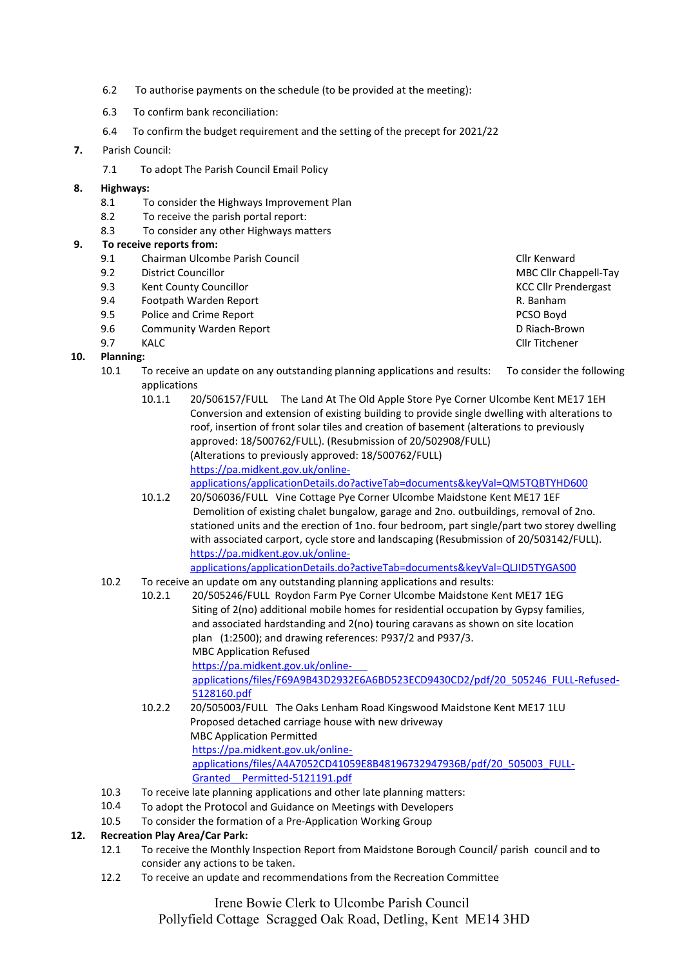- 6.2 To authorise payments on the schedule (to be provided at the meeting):
- 6.3 To confirm bank reconciliation:
- 6.4 To confirm the budget requirement and the setting of the precept for 2021/22

#### **7.** Parish Council:

7.1 To adopt The Parish Council Email Policy

#### **8. Highways:**

- 8.1 To consider the Highways Improvement Plan
- 8.2 To receive the parish portal report:
- 8.3 To consider any other Highways matters

#### **9. To receive reports from:**

- 9.1 Chairman Ulcombe Parish Council Cline Council Cline Cline Cline Cline Cline Cline Cline Cline Cline Cline
- 9.2 District Councillor **MBC Clubs** Councillor MBC Clubs Clubs Clubs Clubs Clubs Clubs Clubs Clubs Clubs Clubs Clubs Clubs Clubs Clubs Clubs Clubs Clubs Clubs Clubs Clubs Clubs Clubs Clubs Clubs Clubs Clubs Clubs Clubs Clu
- 9.3 Kent County Councillor Councillor Councillor Council County Council Council Council Council Council Council Council Council Council Council Council Council Council Council Council Council Council Council Council Counci
- 9.4 Footpath Warden Report R. Banham
- 9.5 Police and Crime Report PCSO Boyd
- 9.6 Community Warden Report **D** Riach-Brown **D** Riach-Brown
- 9.7 KALC Cllr Titchener

#### **10. Planning:**

- 10.1 To receive an update on any outstanding planning applications and results: To consider the following applications
	- 10.1.1 20/506157/FULL The Land At The Old Apple Store Pye Corner Ulcombe Kent ME17 1EH Conversion and extension of existing building to provide single dwelling with alterations to roof, insertion of front solar tiles and creation of basement (alterations to previously approved: 18/500762/FULL). (Resubmission of 20/502908/FULL) (Alterations to previously approved: 18/500762/FULL) [https://pa.midkent.gov.uk/online](https://pa.midkent.gov.uk/online-applications/applicationDetails.do?activeTab=documents&keyVal=QM5TQBTYHD600)[applications/applicationDetails.do?activeTab=documents&keyVal=QM5TQBTYHD600](https://pa.midkent.gov.uk/online-applications/applicationDetails.do?activeTab=documents&keyVal=QM5TQBTYHD600)

10.1.2 20/506036/FULL Vine Cottage Pye Corner Ulcombe Maidstone Kent ME17 1EF Demolition of existing chalet bungalow, garage and 2no. outbuildings, removal of 2no. stationed units and the erection of 1no. four bedroom, part single/part two storey dwelling with associated carport, cycle store and landscaping (Resubmission of 20/503142/FULL). [https://pa.midkent.gov.uk/online-](https://pa.midkent.gov.uk/online-applications/applicationDetails.do?activeTab=documents&keyVal=QLJID5TYGAS00)

[applications/applicationDetails.do?activeTab=documents&keyVal=QLJID5TYGAS00](https://pa.midkent.gov.uk/online-applications/applicationDetails.do?activeTab=documents&keyVal=QLJID5TYGAS00)

- 10.2 To receive an update om any outstanding planning applications and results:
	- 10.2.1 20/505246/FULL Roydon Farm Pye Corner Ulcombe Maidstone Kent ME17 1EG Siting of 2(no) additional mobile homes for residential occupation by Gypsy families, and associated hardstanding and 2(no) touring caravans as shown on site location plan (1:2500); and drawing references: P937/2 and P937/3. MBC Application Refused [https://pa.midkent.gov.uk/online](https://pa.midkent.gov.uk/online-%20%20%20%20%20%20applications/files/F69A9B43D2932E6A6BD523ECD9430CD2/pdf/20_505246_FULL-Refused-5128160.pdf)[applications/files/F69A9B43D2932E6A6BD523ECD9430CD2/pdf/20\\_505246\\_FULL-Refused-](https://pa.midkent.gov.uk/online-%20%20%20%20%20%20applications/files/F69A9B43D2932E6A6BD523ECD9430CD2/pdf/20_505246_FULL-Refused-5128160.pdf)[5128160.pdf](https://pa.midkent.gov.uk/online-%20%20%20%20%20%20applications/files/F69A9B43D2932E6A6BD523ECD9430CD2/pdf/20_505246_FULL-Refused-5128160.pdf)
		- 10.2.2 20/505003/FULL The Oaks Lenham Road Kingswood Maidstone Kent ME17 1LU Proposed detached carriage house with new driveway MBC Application Permitted [https://pa.midkent.gov.uk/online](https://pa.midkent.gov.uk/online-applications/files/A4A7052CD41059E8B48196732947936B/pdf/20_505003_FULL-Granted__Permitted-5121191.pdf)[applications/files/A4A7052CD41059E8B48196732947936B/pdf/20\\_505003\\_FULL-](https://pa.midkent.gov.uk/online-applications/files/A4A7052CD41059E8B48196732947936B/pdf/20_505003_FULL-Granted__Permitted-5121191.pdf)[Granted\\_\\_Permitted-5121191.pdf](https://pa.midkent.gov.uk/online-applications/files/A4A7052CD41059E8B48196732947936B/pdf/20_505003_FULL-Granted__Permitted-5121191.pdf)
- 10.3 To receive late planning applications and other late planning matters:
- 10.4 To adopt the Protocol and Guidance on Meetings with Developers
- 10.5 To consider the formation of a Pre-Application Working Group

#### **12. Recreation Play Area/Car Park:**

- 12.1 To receive the Monthly Inspection Report from Maidstone Borough Council/ parish council and to consider any actions to be taken.
- 12.2 To receive an update and recommendations from the Recreation Committee

Irene Bowie Clerk to Ulcombe Parish Council Pollyfield Cottage Scragged Oak Road, Detling, Kent ME14 3HD